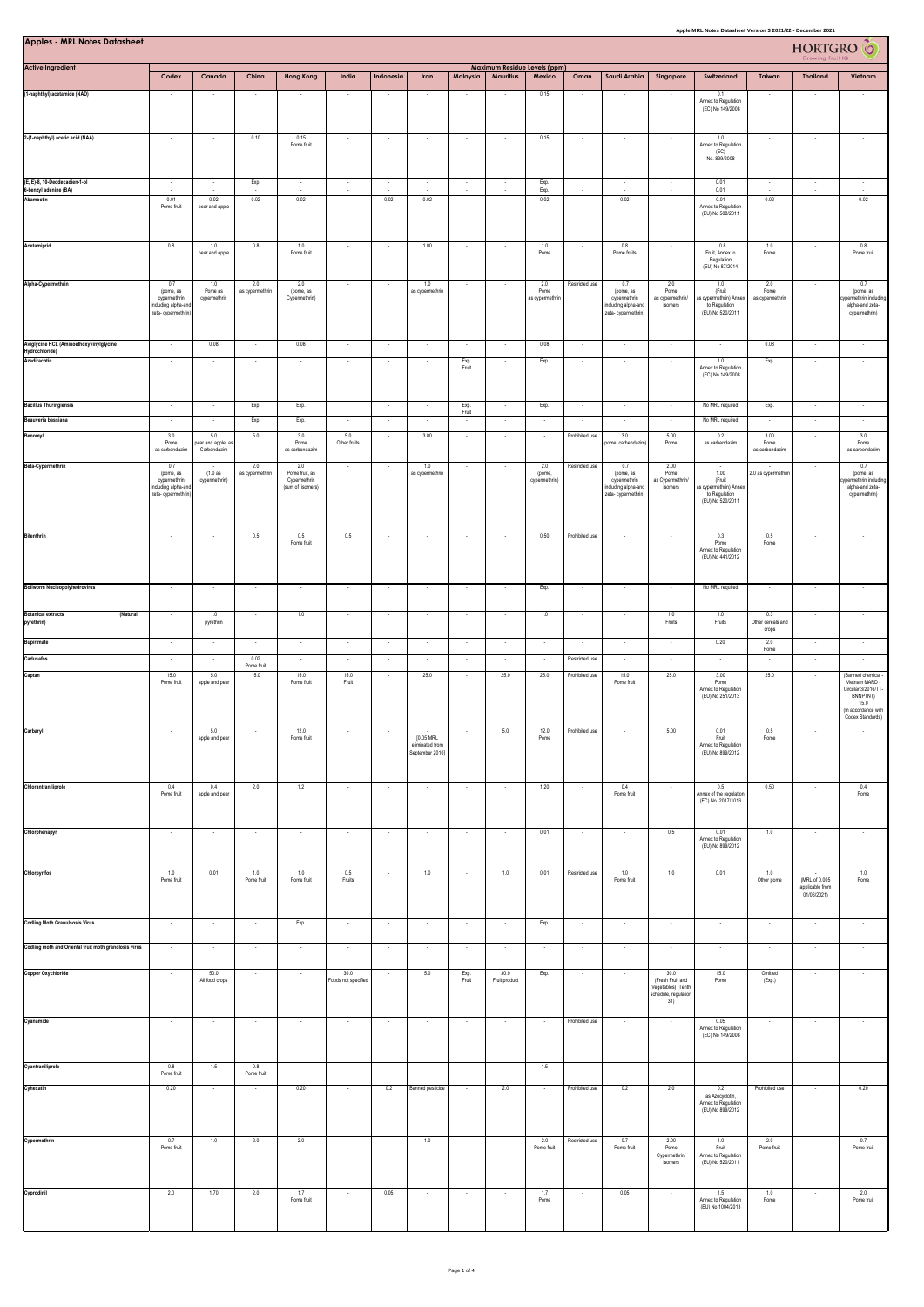| <b>Apples - MRL Notes Datasheet</b>                       | Apple MRL Notes Datasheet Version 3 2021/22 - December 2021<br>Maximum Residue Levels (ppm) |                                        |                                  |                                                           |                             |                                    |                                                 |                          |                          |                                |                                  |                                                                               |                                                                               |                                                                                                           |                                | <b>HORTGRO</b>                                  |                                                                                    |  |
|-----------------------------------------------------------|---------------------------------------------------------------------------------------------|----------------------------------------|----------------------------------|-----------------------------------------------------------|-----------------------------|------------------------------------|-------------------------------------------------|--------------------------|--------------------------|--------------------------------|----------------------------------|-------------------------------------------------------------------------------|-------------------------------------------------------------------------------|-----------------------------------------------------------------------------------------------------------|--------------------------------|-------------------------------------------------|------------------------------------------------------------------------------------|--|
| <b>Active Ingredient</b>                                  | Codex                                                                                       | Canada                                 | China                            | <b>Hong Kong</b>                                          | India                       | Indonesia                          | Iran                                            | Malaysia                 | <b>Mauritius</b>         | Mexico                         | Oman                             | Saudi Arabia                                                                  | Singapore                                                                     | Switzerland                                                                                               | Taiwan                         | <b>Thailand</b>                                 | Vietnam                                                                            |  |
| (1-naphthyl) acetamide (NAD)                              |                                                                                             |                                        |                                  |                                                           |                             |                                    |                                                 |                          |                          | 0.15                           |                                  |                                                                               |                                                                               | 0.1<br>Annex to Regulation<br>(EC) No 149/2008                                                            |                                |                                                 |                                                                                    |  |
| 2-(1-naphthyl) acetic acid (NAA)                          | ×                                                                                           |                                        | 0.10                             | 0.15                                                      | $\overline{\phantom{a}}$    | $\overline{\phantom{a}}$           |                                                 |                          |                          | 0.15                           |                                  |                                                                               |                                                                               | 1.0                                                                                                       |                                |                                                 |                                                                                    |  |
|                                                           |                                                                                             |                                        |                                  | Pome fruit                                                |                             |                                    |                                                 |                          |                          |                                |                                  |                                                                               |                                                                               | Annex to Regulation<br>(EC)<br>No. 839/2008                                                               |                                |                                                 |                                                                                    |  |
| (E, E)-8, 10-Deodecadien-1-ol<br>-benzyl adenine (BA)     | $\cdot$<br>$\overline{\phantom{a}}$                                                         | $\overline{\phantom{a}}$               | Exp.<br>$\overline{\phantom{a}}$ | $\sim$<br>$\cdot$                                         | $\cdot$<br>$\sim$           | $\cdot$                            | $\sim$                                          | $\sim$<br>$\cdot$        | $\sim$                   | Exp.<br>Exp.                   | $\sim$                           | $\cdot$<br>$\sim$                                                             | $\cdot$<br>$\cdot$                                                            | 0.01<br>0.01                                                                                              | $\sim$                         | $\cdot$<br>$\cdot$                              | $\overline{\phantom{a}}$<br>$\sim$                                                 |  |
| Abamectin                                                 | 0.01<br>Pome fruit                                                                          | 0.02<br>pear and apple                 | 0.02                             | 0.02                                                      |                             | 0.02                               | 0.02                                            |                          |                          | 0.02                           |                                  | 0.02                                                                          |                                                                               | 0.01<br>Annex to Regulation<br>(EU) No 508/2011                                                           | 0.02                           |                                                 | 0.02                                                                               |  |
| Acetamiprid                                               | 0.8                                                                                         | 1.0<br>pear and apple                  | 0.8                              | 1.0<br>Pome fruit                                         | $\overline{\phantom{a}}$    | $\overline{\phantom{a}}$           | 1.00                                            | ٠                        |                          | 1.0<br>Pome                    |                                  | 0.8<br>Pome fruits                                                            | $\overline{\phantom{a}}$                                                      | 0.8<br>Fruit, Annex to<br>Regulation                                                                      | 1.0<br>Pome                    |                                                 | 0.8<br>Pome fruit                                                                  |  |
| Alpha-Cypermethrin                                        | 0.7<br>(pome, as                                                                            | 1.0<br>Pome as                         | 2.0<br>as cypermethrin           | 2.0<br>(pome, as                                          | $\sim$                      | $\sim$                             | 1.0<br>as cypermethri                           | $\sim$                   |                          | 2.0<br>Pome                    | Restricted use                   | 0.7<br>(pome, as                                                              | 2.0<br>Pome                                                                   | (EU) No 87/2014<br>1.0<br>(Fruit                                                                          | 2.0<br>Pome                    | $\sim$                                          | 0.7<br>(pome, as                                                                   |  |
|                                                           | cypermethrin<br>icluding alpha-and<br>zeta- cypermethrin)                                   | cypermethrin                           |                                  | Cypermethrin)                                             |                             |                                    |                                                 |                          |                          | as cypermethrin                |                                  | cypermethrin<br>including alpha-and<br>zeta-cypermethrin)                     | as cypermethrin/<br>isomers                                                   | as cypermethrin) Annex<br>to Regulation<br>(EU) No 520/2011                                               | as cypermethrin                |                                                 | permethrin including<br>alpha-and zeta-<br>cypermethrin)                           |  |
| Aviglycine HCL (Aminoethoxyvinylglycine<br>Hydrochloride) | $\overline{\phantom{a}}$                                                                    | 0.08                                   | $\cdot$                          | 0.08                                                      | $\cdot$                     | $\cdot$                            | $\overline{\phantom{a}}$                        | $\overline{\phantom{a}}$ |                          | 0.08                           | $\overline{\phantom{a}}$         | $\cdot$                                                                       | $\overline{\phantom{a}}$                                                      | $\cdot$                                                                                                   | 0.08                           |                                                 | $\overline{\phantom{a}}$                                                           |  |
| Azadirachtin                                              | $\epsilon$                                                                                  | $\sim$                                 | $\ddot{\phantom{1}}$             | ÷.                                                        | ÷.                          |                                    |                                                 | Exp.<br>Fruit            |                          | Exp.                           |                                  | ÷                                                                             | ÷.                                                                            | $1.0\,$<br>Annex to Regulation<br>(EC) No 149/2008                                                        | Exp.                           |                                                 | $\overline{\phantom{a}}$                                                           |  |
| <b>Bacillus Thuringiensis</b>                             | $\sim$                                                                                      | $\sim$                                 | Exp.                             | Exp.                                                      |                             | $\sim$                             | $\sim$                                          | Exp.<br>Fruit            |                          | Exp.                           | $\sim$                           | $\sim$                                                                        | $\sim$                                                                        | No MRL required                                                                                           | Exp.                           | $\sim$                                          | $\overline{\phantom{a}}$                                                           |  |
| Beauveria bassiana                                        | ÷.                                                                                          |                                        | Exp.                             | Exp.                                                      | 5.0                         | $\sim$                             |                                                 | ÷.                       |                          |                                |                                  |                                                                               |                                                                               | No MRL required                                                                                           |                                |                                                 |                                                                                    |  |
| Benomyl                                                   | 3.0<br>Pome<br>as carbendazim                                                               | 5.0<br>ear and apple, a<br>Carbendazim | 5.0                              | 3.0<br>Pome<br>as carbendazim                             | Other fruits                |                                    | 3.00                                            |                          |                          | $\sim$                         | Prohibited use                   | 3.0<br>pome, carbendazir                                                      | 5.00<br>Pome                                                                  | 0.2<br>as carbendazim                                                                                     | 3.00<br>Pome<br>as carbendazim | $\sim$                                          | 3.0<br>Pome<br>as carbendazim                                                      |  |
| Beta-Cypermethrin                                         | 0.7<br>(pome, as<br>cypermethrin<br>duding alpha-and<br>zeta-cypermethrin)                  | (1.0as<br>cypermethrin)                | 2.0<br>as cypermethrin           | 2.0<br>Pome fruit, as<br>Cypermethrin<br>(sum of isomers) | $\cdot$                     | $\sim$                             | 1.0<br>as cypermethri                           | $\sim$                   | $\overline{\phantom{a}}$ | 2.0<br>(pome,<br>cypermethrin) | Restricted use                   | 0.7<br>(pome, as<br>cypermethrin<br>including alpha-and<br>zeta-cypermethrin) | 2.00<br>Pome<br>as Cypermethrin/<br>isomers                                   | $\overline{\phantom{a}}$<br>1.00<br>(Fruit<br>as cypermethrin) Anne:<br>to Regulation<br>(EU) No 520/2011 | $\sim$<br>2.0 as cypermethrin  | $\sim$                                          | 0.7<br>(pome, as<br>ypermethrin including<br>alpha-and zeta-<br>cypermethrin)      |  |
| <b>Bifenthrin</b>                                         | $\sim$                                                                                      |                                        | 0.5                              | 0.5<br>Pome fruit                                         | 0.5                         | $\overline{\phantom{a}}$           |                                                 |                          |                          | 0.50                           | Prohibited use                   |                                                                               |                                                                               | 0.3<br>Pome<br>Annex to Regulation<br>(EU) No 441/2012                                                    | 0.5<br>Pome                    |                                                 |                                                                                    |  |
| <b>Bollworm Nucleopolyhedrovirus</b>                      | $\sim$                                                                                      | $\cdot$                                | $\epsilon$                       | $\epsilon$                                                | $\epsilon$                  | $\cdot$                            | $\cdot$                                         | $\sim$                   | $\sim$                   | Exp.                           | $\epsilon$                       | $\cdot$                                                                       | $\sim$                                                                        | No MRL required                                                                                           | $\sim$                         | $\cdot$                                         | $\cdot$                                                                            |  |
| <b>Botanical extracts</b><br>(Natural<br>pyrethrin)       | $\sim$                                                                                      | 1.0<br>pyrethrin                       | $\sim$                           | 1.0                                                       | $\sim$                      | $\sim$                             | $\sim$                                          | $\cdot$                  | $\sim$                   | $1.0\,$                        | $\cdot$                          | $\sim$                                                                        | 1.0<br>Fruits                                                                 | 1.0<br>Fruits                                                                                             | 0.3<br>Other cereals and       | $\sim$                                          | $\overline{\phantom{a}}$                                                           |  |
| <b>Bupirimate</b>                                         | $\sim$                                                                                      | $\sim$                                 | $\sim$                           | $\sim$                                                    | $\cdot$                     | $\sim$                             | $\sim$                                          | $\sim$                   |                          | $\sim$                         | $\overline{\phantom{a}}$         | $\epsilon$                                                                    | $\sim$                                                                        | 0.20                                                                                                      | crops<br>2.0<br>Pome           |                                                 | $\sim$                                                                             |  |
| Cadusafos<br>Captan                                       | $\epsilon$<br>15.0<br>Pome fruit                                                            | $\sim$<br>5.0                          | 0.02<br>Pome fruit<br>15.0       | $\overline{\phantom{a}}$<br>15.0<br>Pome fruit            | $\sim$<br>15.0<br>Fruit     | $\sim$<br>$\overline{\phantom{a}}$ | $\sim$<br>25.0                                  | $\sim$<br>$\sim$         | $\sim$<br>25.0           | $\sim$<br>25.0                 | Restricted use<br>Prohibited use | $\sim$<br>15.0<br>Pome fruit                                                  | $\sim$<br>25.0                                                                | $\sim$<br>3.00<br>Pome                                                                                    | 25.0                           | $\sim$                                          | $\sim$<br>(Banned chemical<br>Vietnam MARD -                                       |  |
|                                                           |                                                                                             | apple and pear                         |                                  |                                                           |                             |                                    |                                                 |                          |                          |                                |                                  |                                                                               |                                                                               | Annex to Regulation<br>(EU) No 251/2013                                                                   |                                |                                                 | Circular 3/2016/TT-<br>BNNPTNT)<br>15.0<br>(In accordance with<br>Codex Standards) |  |
| Carbaryl                                                  | ×                                                                                           | 5.0<br>apple and pear                  |                                  | 12.0<br>Pome fruit                                        |                             |                                    | [0.05 MRL<br>eliminated from<br>September 2010] |                          | 5.0                      | 12.0<br>Pome                   | Prohibited use                   |                                                                               | 5.00                                                                          | 0.01<br>Fruit<br>Annex to Regulation<br>(EU) No 899/2012                                                  | $0.5\,$<br>Pome                |                                                 |                                                                                    |  |
| Chlorantraniliprole                                       | 0.4<br>Pome fruit                                                                           | 0.4<br>apple and pear                  | 2.0                              | 1.2                                                       | $\sim$                      | $\cdot$                            | $\sim$                                          | $\overline{\phantom{a}}$ |                          | 1.20                           | $\cdot$                          | 0.4<br>Pome fruit                                                             | $\cdot$                                                                       | 0.5<br>Annex of the regulation<br>(EC) No. 2017/1016                                                      | 0.50                           | $\overline{\phantom{a}}$                        | 0.4<br>Pome                                                                        |  |
| Chlorphenapyr                                             |                                                                                             |                                        |                                  |                                                           |                             |                                    |                                                 |                          |                          | 0.01                           |                                  |                                                                               | 0.5                                                                           | 0.01<br>Annex to Regulation<br>(EU) No 899/2012                                                           | 1.0                            |                                                 |                                                                                    |  |
| Chlorpyrifos                                              | 1.0<br>Pome fruit                                                                           | 0.01                                   | 1.0<br>Pome fruit                | 1.0<br>Pome fruit                                         | 0.5<br>Fruits               |                                    | 1.0                                             | ÷.                       | 1.0                      | 0.01                           | Restricted use                   | 1.0<br>Pome fruit                                                             | 1.0                                                                           | 0.01                                                                                                      | 1.0<br>Other pome              | (MRL of 0.005<br>applicable from<br>01/06/2021) | $1.0\,$<br>Pome                                                                    |  |
| <b>Codling Moth Granulsosis Virus</b>                     | $\sim$                                                                                      | $\sim$                                 | $\sim$                           | Exp.                                                      | $\sim$                      | $\sim$                             | $\sim$                                          | $\sim$                   | $\sim$                   | Exp.                           | $\sim$                           | $\sim$                                                                        | $\sim$                                                                        | $\sim$                                                                                                    | $\overline{\phantom{a}}$       | $\sim$                                          |                                                                                    |  |
| Codling moth and Oriental fruit moth granolosis virus     | $\cdot$                                                                                     | $\overline{\phantom{a}}$               | $\overline{\phantom{a}}$         | $\bullet$                                                 | $\sim$                      | $\cdot$                            | $\overline{\phantom{a}}$                        | $\overline{\phantom{a}}$ |                          | $\overline{\phantom{a}}$       | $\overline{\phantom{a}}$         | $\cdot$                                                                       | $\overline{\phantom{a}}$                                                      | $\overline{\phantom{a}}$                                                                                  |                                | $\overline{\phantom{a}}$                        | $\cdot$                                                                            |  |
| Copper Oxychloride                                        | $\sim$                                                                                      | 50.0<br>All food crops                 | $\sim$                           | $\sim$                                                    | 30.0<br>Foods not specified | $\sim$                             | 5.0                                             | Exp.<br>Fruit            | 30.0<br>Fruit product    | Exp.                           | $\sim$                           | $\sim$                                                                        | 30.0<br>(Fresh Fruit and<br>Vegetables) (Tenth<br>schedule, regulation<br>31) | 15.0<br>Pome                                                                                              | Omitted<br>(Exp.)              | $\sim$                                          | $\cdot$                                                                            |  |
| Cyanamide                                                 | $\cdot$                                                                                     | $\cdot$                                | $\cdot$                          | $\cdot$                                                   | $\cdot$                     | $\cdot$                            | $\cdot$                                         | $\cdot$                  | $\sim$                   | $\cdot$                        | Prohibited use                   | $\cdot$                                                                       | $\cdot$                                                                       | 0.05<br>Annex to Regulation<br>(EC) No 149/2008                                                           | $\overline{\phantom{a}}$       | $\cdot$                                         | $\cdot$                                                                            |  |
| Cyantraniliprole                                          | 0.8<br>Pome fruit                                                                           | 1.5                                    | 0.8<br>Pome fruit                | $\cdot$                                                   | $\sim$                      | $\cdot$                            | $\sim$                                          | $\cdot$                  |                          | 1.5                            | $\cdot$                          | $\cdot$                                                                       | $\cdot$                                                                       | $\cdot$                                                                                                   |                                | $\overline{\phantom{a}}$                        | $\cdot$                                                                            |  |
| Cyhexatin                                                 | 0.20                                                                                        | $\overline{\phantom{a}}$               |                                  | 0.20                                                      | $\sim$                      | 0.2                                | Banned pesticide                                | ٠                        | 2.0                      | $\overline{\phantom{a}}$       | Prohibited use                   | 0.2                                                                           | 2.0                                                                           | 0.2<br>as Azocyclotin,<br>Annex to Regulation<br>(EU) No 899/2012                                         | Prohibited use                 |                                                 | 0.20                                                                               |  |
| Cypermethrin                                              | 0.7<br>Pome fruit                                                                           | 1.0                                    | 2.0                              | 2.0                                                       |                             |                                    | 1.0                                             |                          |                          | 2.0<br>Pome fruit              | Restricted use                   | 0.7<br>Pome fruit                                                             | 2.00<br>Pome<br>Cypermethrin/<br>isomers                                      | 1.0<br>Fruit<br>Annex to Regulation<br>(EU) No 520/2011                                                   | 2.0<br>Pome fruit              |                                                 | 0.7<br>Pome fruit                                                                  |  |
| Cyprodinil                                                | 2.0                                                                                         | 1.70                                   | 2.0                              | 1.7<br>Pome fruit                                         | $\sim$                      | 0.05                               | $\sim$                                          | $\sim$                   |                          | 1.7<br>Pome                    | $\sim$                           | 0.05                                                                          | $\sim$                                                                        | 1.5<br>Annex to Regulation<br>(EU) No 1004/2013                                                           | 1.0<br>Pome                    |                                                 | 2.0<br>Pome fruit                                                                  |  |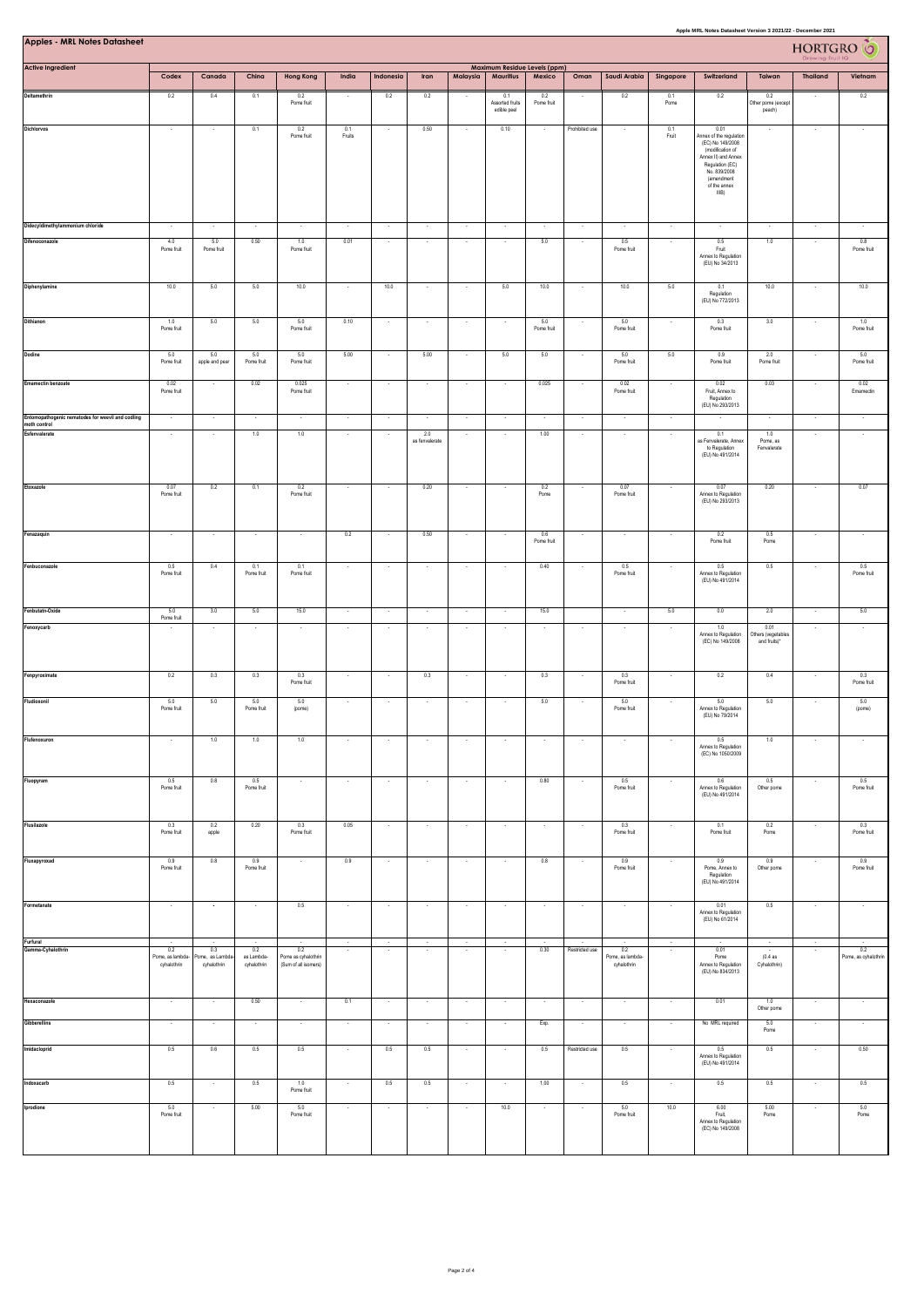| Apple MRL Notes Datasheet Version 3 2021/22 - December 2021<br><b>Apples - MRL Notes Datasheet</b><br><b>HORTGRO</b> |                                |                              |                           |                                             |                          |                          |                       |                    |                                       |                          |                          |                                 |                          |                                                                                                                   |                                            |                          |                      |  |  |  |
|----------------------------------------------------------------------------------------------------------------------|--------------------------------|------------------------------|---------------------------|---------------------------------------------|--------------------------|--------------------------|-----------------------|--------------------|---------------------------------------|--------------------------|--------------------------|---------------------------------|--------------------------|-------------------------------------------------------------------------------------------------------------------|--------------------------------------------|--------------------------|----------------------|--|--|--|
| <b>Active Ingredient</b>                                                                                             |                                |                              |                           |                                             |                          |                          |                       |                    | Maximum Residue Levels (ppm)          |                          |                          |                                 |                          |                                                                                                                   |                                            |                          |                      |  |  |  |
| Deltamethrin                                                                                                         | Codex<br>0.2                   | Canada                       | China                     | <b>Hong Kong</b>                            | India                    | Indonesia                | Iran                  | Malaysia           | <b>Mauritius</b>                      | Mexico                   | Oman                     | Saudi Arabia                    | Singapore                | Switzerland                                                                                                       | Taiwan                                     | <b>Thailand</b>          | Vietnam              |  |  |  |
|                                                                                                                      |                                | 0.4                          | 0.1                       | 0.2<br>Pome fruit                           |                          | 0.2                      | 0.2                   |                    | 0.1<br>Assorted fruits<br>edible peel | 0.2<br>Pome fruit        |                          | 0.2                             | 0.1<br>Pome              | 0.2                                                                                                               | 0.2<br>Other pome (except<br>peach)        |                          | 0.2                  |  |  |  |
| Dichlorvos                                                                                                           | $\overline{\phantom{a}}$       |                              | 0.1                       | 0.2<br>Pome fruit                           | 0.1<br>Fruits            |                          | 0.50                  |                    | 0.10                                  |                          | Prohibited use           | $\cdot$                         | 0.1<br>Fruit             | 0.01<br>unnex of the regulation<br>(EC) No 149/2008<br>(modification of<br>Annex II) and Annex<br>Regulation (EC) | $\overline{\phantom{a}}$                   |                          |                      |  |  |  |
|                                                                                                                      |                                |                              |                           |                                             |                          |                          |                       |                    |                                       |                          |                          |                                 |                          | No. 839/2008<br>(amendment<br>of the annex<br>IIIB)                                                               |                                            |                          |                      |  |  |  |
| Didecyldimethylammonium chloride                                                                                     |                                |                              |                           | ÷.                                          |                          |                          |                       |                    |                                       | $\sim$                   |                          |                                 | ÷.                       | $\sim$                                                                                                            |                                            |                          |                      |  |  |  |
| Difenoconazole                                                                                                       | 4.0<br>Pome fruit              | 5.0<br>Pome fruit            | 0.50                      | 1.0<br>Pome fruit                           | 0.01                     | $\sim$                   | $\sim$                | $\sim$             | $\overline{\phantom{a}}$              | 5.0                      | $\overline{\phantom{a}}$ | 0.5<br>Pome fruit               | $\sim$                   | 0.5<br>Fruit<br>Annex to Regulation<br>(EU) No 34/2013                                                            | 1.0                                        | $\sim$                   | 0.8<br>Pome fruit    |  |  |  |
| Diphenylamine                                                                                                        | 10.0                           | $5.0\,$                      | 5.0                       | 10.0                                        | $\sim$                   | 10.0                     | $\sim$                |                    | 5.0                                   | 10.0                     |                          | 10.0                            | 5.0                      | 0.1<br>Regulation<br>(EU) No 772/2013                                                                             | 10.0                                       |                          | 10.0                 |  |  |  |
| Dithianon                                                                                                            | 1.0<br>Pome fruit              | 5.0                          | 5.0                       | 5.0<br>Pome fruit                           | 0.10                     |                          |                       |                    |                                       | 5.0<br>Pome fruit        |                          | 5.0<br>Pome fruit               |                          | 0.3<br>Pome fruit                                                                                                 | 3.0                                        |                          | 1.0<br>Pome fruit    |  |  |  |
| Dodine                                                                                                               | 5.0<br>Pome fruit              | 5.0<br>apple and pear        | 5.0<br>Pome fruit         | 5.0<br>Pome fruit                           | 5.00                     |                          | 5.00                  |                    | 5.0                                   | 5.0                      |                          | 5.0<br>Pome fruit               | 5.0                      | 0.9<br>Pome fruit                                                                                                 | 2.0<br>Pome fruit                          |                          | 5.0<br>Pome fruit    |  |  |  |
| <b>Emamectin benzoate</b>                                                                                            | 0.02<br>Pome fruit             | $\sim$                       | 0.02                      | 0.025<br>Pome fruit                         | $\sim$                   | $\sim$                   | $\sim$                | $\sim$             | $\sim$                                | 0.025                    | ٠.                       | 0.02<br>Pome fruit              | $\sim$                   | 0.02<br>Fruit, Annex to<br>Regulation<br>(EU) No 293/2013                                                         | 0.03                                       | $\sim$                   | 0.02<br>Emamectin    |  |  |  |
| Entomopathogenic nematodes for weevil and codling<br>moth control                                                    |                                |                              |                           | $\overline{\phantom{a}}$                    | $\cdot$                  |                          |                       |                    |                                       |                          |                          | $\cdot$                         | ÷,                       |                                                                                                                   |                                            |                          |                      |  |  |  |
| Esfenvalerate                                                                                                        | $\epsilon$                     |                              | 1.0                       | 1.0                                         | ÷,                       |                          | 2.0<br>as fenvalerate |                    |                                       | 1.00                     |                          | $\epsilon$                      | ÷                        | 0.1<br>as Fenvalerate, Annex<br>to Regulation<br>(EU) No 491/2014                                                 | 1.0<br>Pome, as<br>Fenvalerate             |                          |                      |  |  |  |
| Etoxazole                                                                                                            | 0.07<br>Pome fruit             | $0.2\,$                      | 0.1                       | $0.2\,$<br>Pome fruit                       |                          |                          | 0.20                  |                    |                                       | 0.2<br>Pome              |                          | 0.07<br>Pome fruit              |                          | 0.07<br>Annex to Regulation<br>(EU) No 293/2013                                                                   | 0.20                                       |                          | 0.07                 |  |  |  |
| Fenazaquin                                                                                                           |                                |                              |                           |                                             | 0.2                      |                          | 0.50                  |                    |                                       | 0.6<br>Pome fruit        |                          |                                 |                          | 0.2<br>Pome fruit                                                                                                 | 0.5<br>Pome                                |                          |                      |  |  |  |
| Fenbuconazole                                                                                                        | 0.5<br>Pome fruit              | 0.4                          | 0.1<br>Pome fruit         | 0.1<br>Pome fruit                           | $\sim$                   |                          | $\sim$                |                    |                                       | 0.40                     |                          | 0.5<br>Pome fruit               | ×                        | 0.5<br>Annex to Regulation<br>(EU) No 491/2014                                                                    | 0.5                                        |                          | 0.5<br>Pome fruit    |  |  |  |
| Fenbutatn-Oxide                                                                                                      | 5.0<br>Pome fruit              | 3.0                          | 5.0                       | 15.0                                        | $\cdot$                  | $\cdot$                  | $\cdot$               | $\cdot$            |                                       | 15.0                     |                          | $\cdot$                         | 5.0                      | 0.0                                                                                                               | 2.0                                        |                          | 5.0                  |  |  |  |
| Fenoxycarb                                                                                                           |                                |                              |                           | ×,                                          |                          |                          |                       |                    |                                       |                          |                          | ÷.                              |                          | 1.0<br>Annex to Regulation<br>(EC) No 149/2008                                                                    | 0.01<br>Others (vegetables<br>and fruits)* |                          |                      |  |  |  |
| Fenpyroximate                                                                                                        | 0.2                            | 0.3                          | 0.3                       | 0.3<br>Pome fruit                           | $\sim$                   | $\sim$                   | 0.3                   | $\sim$             | $\sim$                                | 0.3                      | $\overline{\phantom{a}}$ | 0.3<br>Pome fruit               | $\sim$                   | 0.2                                                                                                               | 0.4                                        | $\sim$                   | 0.3<br>Pome fruit    |  |  |  |
| Fludioxonil                                                                                                          | 5.0<br>Pome fruit              | 5.0                          | 5.0<br>Pome fruit         | 5.0<br>(pome)                               |                          |                          |                       |                    |                                       | 5.0                      |                          | 5.0<br>Pome fruit               |                          | 5.0<br>Annex to Regulation<br>(EU) No 79/2014                                                                     | 5.0                                        |                          | 5.0<br>(pome)        |  |  |  |
| Flufenoxuron                                                                                                         | $\overline{\phantom{a}}$       | 1.0                          | 1.0                       | 1.0                                         | $\overline{\phantom{a}}$ |                          | $\sim$                |                    |                                       | $\overline{\phantom{a}}$ |                          | ٠                               |                          | 0.5<br>Annex to Regulation<br>(EC) No 1050/2009                                                                   | 1.0                                        |                          |                      |  |  |  |
| Fluopyram                                                                                                            | 0.5<br>Pome fruit              | 0.8                          | 0.5<br>Pome fruit         | $\sim$                                      | ÷.                       | $\overline{\phantom{a}}$ | $\sim$                |                    |                                       | 0.80                     |                          | 0.5<br>Pome fruit               |                          | 0.6<br>Annex to Regulation<br>(EU) No 491/2014                                                                    | 0.5<br>Other pome                          |                          | 0.5<br>Pome fruit    |  |  |  |
| Flusilazole                                                                                                          | 0.3<br>Pome fruit              | 0.2<br>apple                 | 0.20                      | 0.3<br>Pome fruit                           | 0.05                     | $\cdot$                  | $\cdot$               | $\cdot$            |                                       | $\cdot$                  |                          | 0.3<br>Pome fruit               | ÷,                       | 0.1<br>Pome fruit                                                                                                 | 0.2<br>Pome                                |                          | 0.3<br>Pome fruit    |  |  |  |
| Fluxapyroxad                                                                                                         | 0.9<br>Pome fruit              | 0.8                          | 0.9<br>Pome fruit         | ٠                                           | 0.9                      | $\overline{\phantom{a}}$ | $\cdot$               | ÷                  |                                       | 0.8                      |                          | 0.9<br>Pome fruit               | $\overline{\phantom{a}}$ | 0.9<br>Pome, Annex to<br>Regulation<br>(EU) No 491/2014                                                           | 0.9<br>Other pome                          | $\cdot$                  | 0.9<br>Pome fruit    |  |  |  |
| Formetanate                                                                                                          | $\cdot$                        | $\bullet$                    | $\sim$                    | 0.5                                         | $\sim$                   | $\cdot$                  | $\sim$                | $\sim$             | $\sim$                                | $\sim$                   | $\cdot$                  | $\cdot$                         | $\overline{\phantom{a}}$ | 0.01<br>Annex to Regulation<br>(EU) No 61/2014                                                                    | 0.5                                        | $\overline{\phantom{a}}$ |                      |  |  |  |
| Furfural<br>Gamma-Cyhalothrin                                                                                        | $\sim$<br>0.2                  | $\cdot$<br>0.3               | 0.2                       | $\cdot$<br>0.2                              | $\sim$<br>$\sim$         | $\sim$<br>$\cdot$        | $\sim$                | $\cdot$<br>$\cdot$ | $\sim$                                | 0.30                     | Restricted use           | $\cdot$<br>0.2                  | ÷<br>$\cdot$             | 0.01                                                                                                              | $\sim$                                     | $\cdot$                  | 0.2                  |  |  |  |
|                                                                                                                      | Pome, as lambda<br>cyhalothrin | ome, as Lambd<br>cyhalothrin | as Lambda-<br>cyhalothrin | Pome as cyhalothrin<br>(Sum of all isomers) |                          |                          |                       |                    |                                       |                          |                          | Pome, as lambda-<br>cyhalothrin |                          | Pome<br>Annex to Regulation<br>(EU) No 834/2013                                                                   | (0.4as<br>Cyhalothrin)                     |                          | Pome, as cyhalothrin |  |  |  |
| Hexaconazole                                                                                                         | $\sim$                         | $\cdot$                      | 0.50                      | $\sim$                                      | 0.1                      | $\sim$                   | $\sim$                | $\sim$             | $\sim$                                | $\sim$                   | $\cdot$                  | $\sim$                          | $\sim$                   | 0.01                                                                                                              | 1.0<br>Other pome                          | $\sim$                   | $\cdot$              |  |  |  |
| Gibberellins                                                                                                         | $\cdot$                        | $\cdot$                      | $\cdot$                   | ¥                                           | $\cdot$                  |                          | $\cdot$               |                    |                                       | Exp.                     |                          | $\overline{\phantom{a}}$        | ÷,                       | No MRL required                                                                                                   | $5.0\,$<br>Pome                            |                          |                      |  |  |  |
| Imidacloprid                                                                                                         | 0.5                            | 0.6                          | 0.5                       | 0.5                                         |                          | 0.5                      | 0.5                   |                    |                                       | 0.5                      | Restricted use           | 0.5                             |                          | 0.5<br>Annex to Regulation<br>(EU) No 491/2014                                                                    | 0.5                                        |                          | 0.50                 |  |  |  |
| Indoxacarb                                                                                                           | 0.5                            |                              | 0.5                       | 1.0<br>Pome fruit                           | ÷.                       | 0.5                      | 0.5                   |                    |                                       | 1.00                     |                          | 0.5                             |                          | 0.5                                                                                                               | 0.5                                        |                          | 0.5                  |  |  |  |
| Iprodione                                                                                                            | 5.0<br>Pome fruit              | $\cdot$                      | 5.00                      | 5.0<br>Pome fruit                           | $\cdot$                  |                          | $\cdot$               |                    | 10.0                                  | $\cdot$                  |                          | 5.0<br>Pome fruit               | 10.0                     | 6.00<br>Fruit,<br>Annex to Regulation<br>(EC) No 149/2008                                                         | 5.00<br>Pome                               |                          | 5.0<br>Pome          |  |  |  |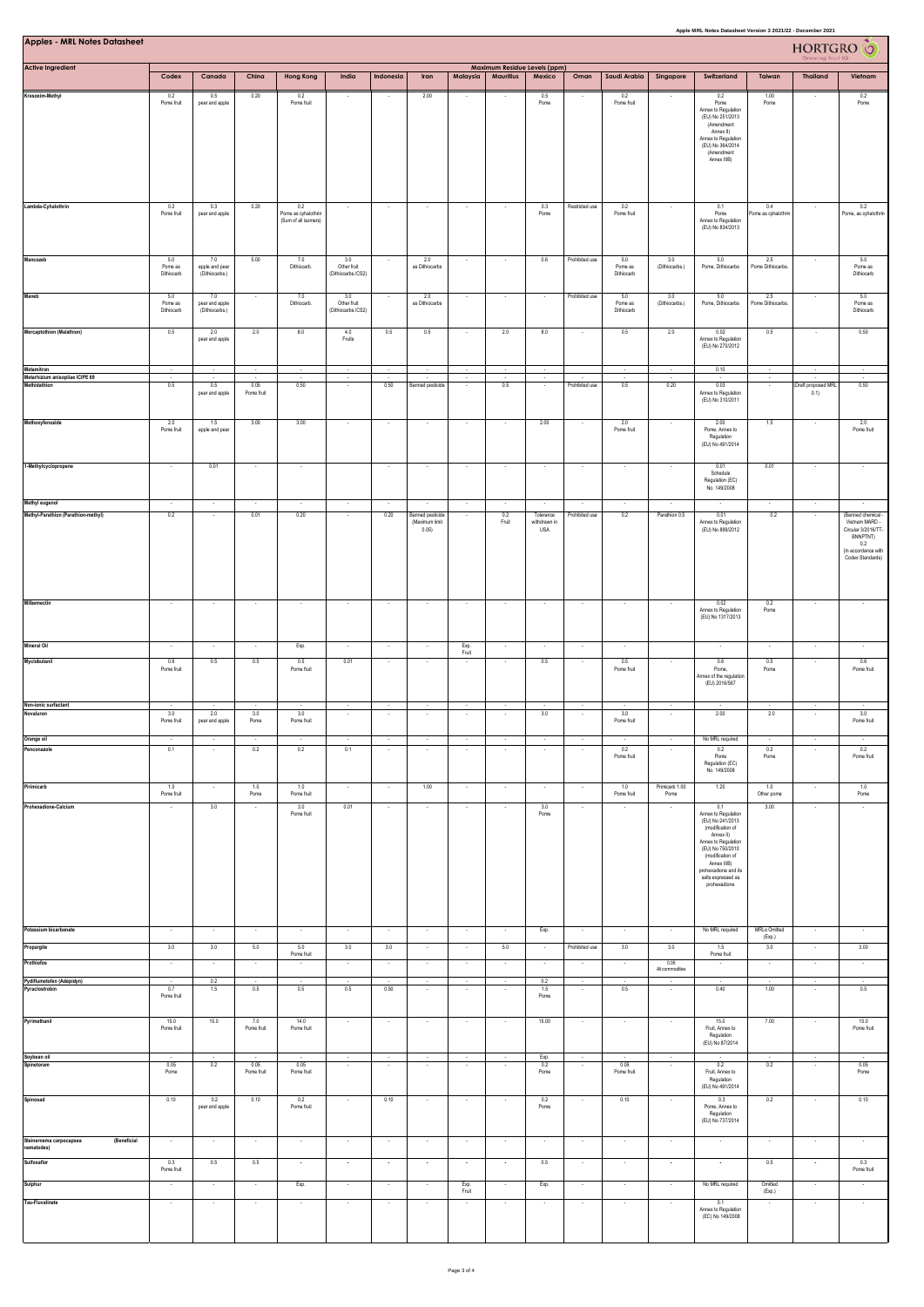| Apple MRL Notes Datasheet Version 3 2021/22 - December 2021<br><b>Apples - MRL Notes Datasheet</b><br>HORTGRO <sup>6</sup> |                              |                                         |                          |                                                    |                                          |                                    |                                    |                                     |                                                  |                                    |                                     |                              |                           |                                                                                                                                                                                                                                     |                               |                                                      |                                                                                                            |
|----------------------------------------------------------------------------------------------------------------------------|------------------------------|-----------------------------------------|--------------------------|----------------------------------------------------|------------------------------------------|------------------------------------|------------------------------------|-------------------------------------|--------------------------------------------------|------------------------------------|-------------------------------------|------------------------------|---------------------------|-------------------------------------------------------------------------------------------------------------------------------------------------------------------------------------------------------------------------------------|-------------------------------|------------------------------------------------------|------------------------------------------------------------------------------------------------------------|
| <b>Active Ingredient</b>                                                                                                   | Codex                        | Canada                                  | China                    | <b>Hong Kong</b>                                   | India                                    | Indonesia                          | Iran                               | Malaysia                            | Maximum Residue Levels (ppm)<br><b>Mauritius</b> | Mexico                             | Oman                                | Saudi Arabia                 | Singapore                 | Switzerland                                                                                                                                                                                                                         | Taiwan                        | <b>Thailand</b>                                      | Vietnam                                                                                                    |
| Kresoxim-Methyl                                                                                                            | 0.2                          | 0.5                                     | 0.20                     | 0.2                                                |                                          |                                    | 2.00                               |                                     |                                                  | 0.5                                |                                     | 0.2                          |                           | 0.2                                                                                                                                                                                                                                 | 1.00                          |                                                      | 0.2                                                                                                        |
|                                                                                                                            | Pome fruit                   | pear and apple                          |                          | Pome fruit                                         |                                          |                                    |                                    |                                     |                                                  | Pome                               |                                     | Pome fruit                   |                           | Pome<br>Annex to Regulation<br>(EU) No 251/2013<br>(Amendment<br>Annex II)<br>Annex to Regulation<br>(EU) No 364/2014<br>(Amendment<br>Annex IIIB)                                                                                  | Pome                          |                                                      | Pome                                                                                                       |
| Lambda-Cyhalothrin                                                                                                         | 0.2<br>Pome fruit            | 0.3<br>pear and apple                   | 0.20                     | 0.2<br>Pome as cyhalothrin<br>(Sum of all isomers) | $\overline{\phantom{a}}$                 | $\sim$                             | $\cdot$                            | $\overline{\phantom{a}}$            |                                                  | 0.3<br>Pome                        | Restricted use                      | 0.2<br>Pome fruit            | $\overline{\phantom{a}}$  | 0.1<br>Pome<br>Annex to Regulation<br>(EU) No 834/2013                                                                                                                                                                              | 0.4<br>Pome as cyhalothrin    | $\cdot$                                              | 0.2<br>Pome, as cyhalothrin                                                                                |
| Mancozeb                                                                                                                   | 5.0<br>Pome as<br>Difhiocarb | 7.0<br>apple and pear<br>(Dithiocarbs.) | 5.00                     | 7.0<br>Dithiocarb.                                 | 3.0<br>Other fruit<br>(Dithiocarbs./CS2) |                                    | 2.0<br>as Dithiocarbs              |                                     |                                                  | 0.6                                | Prohibited use                      | 5.0<br>Pome as<br>Dithiocarb | 3.0<br>(Dithiocarbs.)     | 5.0<br>Pome, Dithiocarbs                                                                                                                                                                                                            | 2.5<br>Pome Dithiocarbs.      |                                                      | 5.0<br>Pome as<br>Dithiocarb                                                                               |
| Maneb                                                                                                                      | 5.0<br>Pome as<br>Diffiocarb | 7.0<br>pear and apple<br>(Dithiocarbs.) | $\cdot$                  | $7.0\,$<br>Dithiocarb.                             | 3.0<br>Other fruit<br>(Dithiocarbs./CS2) |                                    | $2.0\,$<br>as Dithiocarbs          |                                     |                                                  | $\cdot$                            | Prohibited use                      | 5.0<br>Pome as<br>Dithiocarb | $3.0\,$<br>(Dithiocarbs.) | $5.0\,$<br>Pome, Dithiocarbs                                                                                                                                                                                                        | $2.5\,$<br>Pome Dithiocarbs.  | ×,                                                   | 5.0<br>Pome as<br>Dithiocarb                                                                               |
| <b>Mercaptothion (Malathion)</b>                                                                                           | 0.5                          | 2.0<br>pear and apple                   | 2.0                      | 8.0                                                | 4.0<br>Fruits                            | 0.5                                | 0.5                                |                                     | 2.0                                              | 8.0                                |                                     | 0.5                          | 2.0                       | 0.02<br>Annex to Regulation<br>(EU) No 270/2012                                                                                                                                                                                     | 0.5                           |                                                      | 0.50                                                                                                       |
| Metamitron<br>Metarhizium anisopliae ICIPE 69                                                                              | $\overline{\phantom{a}}$     | $\sim$                                  | $\cdot$                  | $\sim$                                             | $\overline{\phantom{a}}$                 |                                    | $\overline{\phantom{a}}$           | $\cdot$                             | $\sim$                                           | $\cdot$                            |                                     | $\overline{\phantom{a}}$     | $\cdot$                   | 0.10                                                                                                                                                                                                                                |                               |                                                      |                                                                                                            |
| Methidathion                                                                                                               | 0.5                          | 0.5<br>pear and apple                   | 0.05<br>Pome fruit       | 0.50                                               | ÷,                                       | 0.50                               | <b>Banned pesticide</b>            |                                     | 0.5                                              | ÷,                                 | Prohibited use                      | 0.5                          | 0.20                      | 0.03<br>Annex to Regulation<br>(EU) No 310/2011                                                                                                                                                                                     |                               | (Draft proposed MRL<br>(0.1)                         | 0.50                                                                                                       |
| Methoxyfenozide                                                                                                            | 2.0<br>Pome fruit            | 1.5<br>apple and pear                   | 3.00                     | 3.00                                               | ×                                        | $\overline{\phantom{a}}$           | $\overline{\phantom{a}}$           |                                     |                                                  | 2.00                               |                                     | 2.0<br>Pome fruit            | $\overline{\phantom{a}}$  | 2.00<br>Pome, Annex to<br>Regulation<br>(EU) No 491/2014                                                                                                                                                                            | 1.5                           |                                                      | 2.0<br>Pome fruit                                                                                          |
| 1-Methylcyclopropene                                                                                                       |                              | 0.01                                    |                          |                                                    |                                          |                                    |                                    |                                     |                                                  |                                    |                                     |                              |                           | 0.01<br>Schedule<br>Regulation (EC)<br>No. 149/2008                                                                                                                                                                                 | 0.01                          |                                                      |                                                                                                            |
| Methyl eugenol<br>Methyl-Parathion (Parathion-methyl)                                                                      | 0.2                          |                                         | 0.01                     | ÷.<br>0.20                                         |                                          | ÷.<br>0.20                         | Banned pesticide                   |                                     | 0.2                                              | Tolerance                          | Prohibited use                      | ٠<br>0.2                     | Parathion 0.5             | 0.01                                                                                                                                                                                                                                | 0.2                           |                                                      | (Banned chemical -                                                                                         |
|                                                                                                                            |                              |                                         |                          |                                                    |                                          |                                    | (Maximum limit<br>0.05)            |                                     | Fruit                                            | withdrawn in<br>USA                |                                     |                              |                           | Annex to Regulation<br>(EU) No 899/2012                                                                                                                                                                                             |                               |                                                      | Vietnam MARD -<br>Circular 3/2016/TT-<br><b>BNNPTNT)</b><br>0.2<br>(In accordance with<br>Codex Standards) |
| Milbemectin                                                                                                                | $\sim$                       | $\cdot$                                 | $\sim$                   | $\cdot$                                            | $\sim$                                   | $\sim$                             | $\sim$                             | $\sim$                              | $\sim$                                           | $\sim$                             | $\sim$                              | $\cdot$                      | $\sim$                    | 0.02<br>Annex to Regulation<br>(EU) No 1317/2013                                                                                                                                                                                    | 0.2<br>Pome                   | $\sim$                                               |                                                                                                            |
| <b>Mineral Oil</b>                                                                                                         | $\sim$                       | ٠.                                      | $\sim$                   | Exp.                                               | $\sim$                                   |                                    | $\sim$                             | Exp.<br>Fruit                       |                                                  | $\sim$                             | $\sim$                              | $\overline{\phantom{a}}$     |                           |                                                                                                                                                                                                                                     | $\overline{\phantom{a}}$      |                                                      |                                                                                                            |
| Myclobutanil                                                                                                               | 0.6<br>Pome fruit            | 0.5                                     | 0.5                      | 0.5<br>Pome fruit                                  | 0.01                                     |                                    |                                    |                                     |                                                  | 0.5                                |                                     | 0.5<br>Pome fruit            |                           | 0.6<br>Pome,<br>Annex of the regulation<br>(EU) 2016/567                                                                                                                                                                            | 0.5<br>Pome                   |                                                      | 0.6<br>Pome fruit                                                                                          |
| Non-ionic surfactant<br>Novaluron                                                                                          | $\sim$<br>3.0                | 2.0                                     | $\sim$<br>$3.0\,$        | $\sim$<br>3.0                                      | $\sim$                                   |                                    | $\sim$                             |                                     |                                                  | $\sim$<br>3.0                      |                                     | $\sim$<br>3.0                | $\overline{\phantom{a}}$  | $\overline{\phantom{a}}$<br>2.00                                                                                                                                                                                                    | 2.0                           |                                                      | 3.0                                                                                                        |
|                                                                                                                            | Pome fruit                   | pear and apple                          | Pome<br>$\sim$           | Pome fruit                                         | $\sim$                                   |                                    |                                    |                                     | $\cdot$                                          |                                    |                                     | Pome fruit                   |                           |                                                                                                                                                                                                                                     | $\sim$                        |                                                      | Pome fruit                                                                                                 |
| Orange oil<br>Penconazole                                                                                                  | $\cdot$<br>0.1               | $\cdot$<br>$\overline{\phantom{a}}$     | 0.2                      | ×<br>0.2                                           | 0.1                                      | $\sim$<br>$\overline{\phantom{a}}$ | $\cdot$<br>$\sim$                  | $\sim$<br>×                         | ٠                                                | $\sim$<br>$\overline{\phantom{a}}$ | $\cdot$<br>$\overline{\phantom{a}}$ | $\cdot$<br>0.2<br>Pome fruit | ÷.<br>$\cdot$             | No MRL required<br>0.2<br>Pome<br>Regulation (EC)<br>No. 149/2008                                                                                                                                                                   | 0.2<br>Pome                   | $\overline{\phantom{a}}$<br>$\overline{\phantom{a}}$ | 0.2<br>Pome fruit                                                                                          |
| Pirimicarb<br>Prohexadione-Calcium                                                                                         | 1.0<br>Pome fruit            | $\sim$<br>3.0                           | 1.0<br>Pome              | 1.0<br>Pome fruit<br>3.0<br>Pome fruit             | $\sim$<br>0.01                           | $\sim$                             | 1.00                               | $\sim$                              | $\sim$                                           | $\sim$<br>3.0<br>Pome              | $\sim$                              | 1.0<br>Pome fruit            | Primicarb 1.00<br>Pome    | 1.20<br>0.1<br>Annex to Regulation<br>(EU) No 241/2013<br>(modification of<br>Annex II)<br>Annex to Regulation<br>(EU) No 750/2010<br>(modification of<br>Annex IIIB)<br>prohexadione and its<br>salts expressed as<br>prohexadione | 1.0<br>Other pome<br>3.00     | $\sim$                                               | 1.0<br>Pome                                                                                                |
| Potassium bicarbonate                                                                                                      | $\epsilon$                   | $\sim$                                  | $\sim$                   | $\sim$                                             | $\sim$                                   | $\sim$                             | $\sim$                             | $\cdot$                             | $\sim$                                           | Exp.                               | $\cdot$                             | $\epsilon$                   | $\sim$                    | No MRL required                                                                                                                                                                                                                     | <b>MRLs Omitted</b><br>(Exp.) | $\cdot$                                              | $\cdot$                                                                                                    |
| Propargite<br>Prothiofos                                                                                                   | 3.0                          | 3.0                                     | 5.0                      | 5.0<br>Pome fruit                                  | 3.0                                      | 3.0                                | $\sim$                             | $\sim$                              | 5.0                                              | $\overline{\phantom{a}}$           | Prohibited use                      | 3.0                          | 3.0<br>0.05               | 1.5<br>Pome fruit                                                                                                                                                                                                                   | 3.0                           | $\overline{\phantom{a}}$                             | 3.00                                                                                                       |
| Pydiflumetofen (Adepidyn)                                                                                                  | $\cdot$                      | $\sim$<br>0.2                           | $\cdot$<br>$\cdot$       |                                                    | $\cdot$<br>$\cdot$                       | $\cdot$                            | $\sim$<br>$\overline{\phantom{a}}$ | $\overline{\phantom{a}}$<br>$\cdot$ | $\sim$<br>$\bullet$                              | $\cdot$<br>0.2                     | $\overline{\phantom{a}}$<br>$\cdot$ | $\cdot$                      | All commodities           |                                                                                                                                                                                                                                     | $\cdot$                       | $\overline{\phantom{a}}$<br>$\overline{\phantom{a}}$ | $\sim$                                                                                                     |
| Pyraclostrobin                                                                                                             | 0.7<br>Pome fruit            | 1.5                                     | 0.5                      | 0.5                                                | 0.5                                      | 0.50                               | $\cdot$                            | ×                                   |                                                  | 1.5<br>Pome                        | $\cdot$                             | 0.5                          | $\overline{\phantom{a}}$  | 0.40                                                                                                                                                                                                                                | 1.00                          | $\overline{\phantom{a}}$                             | 0.5                                                                                                        |
| Pyrimethanil                                                                                                               | 15.0<br>Pome fruit           | 15.0                                    | 7.0<br>Pome fruit        | 14.0<br>Pome fruit                                 | $\sim$                                   |                                    | $\overline{\phantom{a}}$           |                                     |                                                  | 15.00                              |                                     | $\bullet$                    | $\overline{\phantom{a}}$  | 15.0<br>Fruit, Annex to<br>Regulation<br>(EU) No 87/2014                                                                                                                                                                            | 7.00                          |                                                      | 15.0<br>Pome fruit                                                                                         |
| Soybean oil<br>Spinetoram                                                                                                  | 0.05<br>Pome                 | 0.2                                     | 0.05<br>Pome fruit       | 0.05<br>Pome fruit                                 | $\sim$<br>$\cdot$                        |                                    |                                    |                                     |                                                  | Exp.<br>0.2<br>Pome                |                                     | 0.05<br>Pome fruit           | $\sim$<br>$\cdot$         | 0.2<br>Fruit, Annex to<br>Regulation<br>(EU) No 491/2014                                                                                                                                                                            | 0.2                           | ÷                                                    | 0.05<br>Pome                                                                                               |
| Spinosad                                                                                                                   | 0.10                         | 0.2<br>pear and apple                   | 0.10                     | 0.2<br>Pome fruit                                  | $\sim$                                   | 0.10                               | $\sim$                             |                                     |                                                  | 0.2<br>Pome                        |                                     | 0.10                         | $\sim$                    | 0.3<br>Pome, Annex to<br>Regulation<br>(EU) No 737/2014                                                                                                                                                                             | 0.2                           |                                                      | 0.10                                                                                                       |
| Steinernema carpocapsea<br>(Beneficial<br>nematodes)                                                                       | $\overline{\phantom{a}}$     | $\sim$                                  | $\cdot$                  | $\cdot$                                            | $\sim$                                   | $\sim$                             | $\cdot$                            | $\cdot$                             | $\sim$                                           | $\sim$                             | $\overline{\phantom{a}}$            | $\epsilon$                   | $\cdot$                   | $\cdot$                                                                                                                                                                                                                             | $\cdot$                       | $\overline{\phantom{a}}$                             |                                                                                                            |
| Sulfoxaflor                                                                                                                | 0.3<br>Pome fruit            | 0.5                                     | 0.5                      | $\cdot$                                            | $\cdot$                                  | $\overline{\phantom{a}}$           | $\cdot$                            | $\overline{\phantom{a}}$            | $\overline{\phantom{a}}$                         | 0.5                                | $\sim$                              | $\sim$                       | $\cdot$                   | $\overline{\phantom{a}}$                                                                                                                                                                                                            | 0.5                           | $\cdot$                                              | 0.3<br>Pome fruit                                                                                          |
| Sulphur                                                                                                                    | $\overline{\phantom{a}}$     | $\overline{\phantom{a}}$                | $\overline{\phantom{a}}$ | Exp.                                               | $\cdot$                                  | $\overline{\phantom{a}}$           | $\overline{\phantom{a}}$           | Exp.<br>Fruit                       |                                                  | Exp.                               | $\cdot$                             | $\bullet$                    | $\cdot$                   | No MRL required                                                                                                                                                                                                                     | Omitted<br>(Exp.)             | $\overline{\phantom{a}}$                             | $\sim$                                                                                                     |
| <b>Tau-Fluvalinate</b>                                                                                                     | $\overline{\phantom{a}}$     |                                         |                          | $\overline{\phantom{a}}$                           |                                          |                                    |                                    |                                     |                                                  |                                    |                                     | $\overline{\phantom{a}}$     | $\cdot$                   | 0.1<br>Annex to Regulation<br>(EC) No 149/2008                                                                                                                                                                                      |                               |                                                      |                                                                                                            |